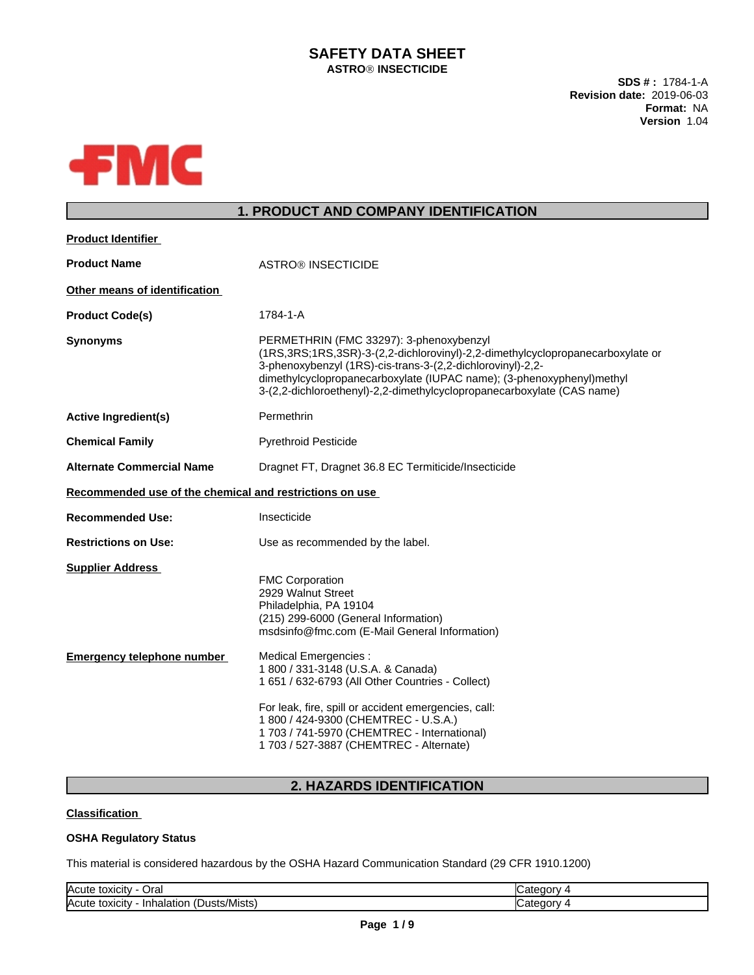# **SAFETY DATA SHEET ASTROÒ INSECTICIDE**

**SDS # :** 1784-1-A **Revision date:** 2019-06-03 **Format:** NA **Version** 1.04



# **1. PRODUCT AND COMPANY IDENTIFICATION**

| <b>Product Identifier</b>                                    |                                                                                                                                                                                                                                                                                                                                                                                                                                                                              |  |
|--------------------------------------------------------------|------------------------------------------------------------------------------------------------------------------------------------------------------------------------------------------------------------------------------------------------------------------------------------------------------------------------------------------------------------------------------------------------------------------------------------------------------------------------------|--|
| <b>Product Name</b>                                          | <b>ASTRO® INSECTICIDE</b>                                                                                                                                                                                                                                                                                                                                                                                                                                                    |  |
| Other means of identification                                |                                                                                                                                                                                                                                                                                                                                                                                                                                                                              |  |
| <b>Product Code(s)</b>                                       | 1784-1-A                                                                                                                                                                                                                                                                                                                                                                                                                                                                     |  |
| <b>Synonyms</b>                                              | PERMETHRIN (FMC 33297): 3-phenoxybenzyl<br>(1RS, 3RS; 1RS, 3SR)-3-(2, 2-dichlorovinyl)-2, 2-dimethylcyclopropanecarboxylate or<br>3-phenoxybenzyl (1RS)-cis-trans-3-(2,2-dichlorovinyl)-2,2-<br>dimethylcyclopropanecarboxylate (IUPAC name); (3-phenoxyphenyl)methyl<br>3-(2,2-dichloroethenyl)-2,2-dimethylcyclopropanecarboxylate (CAS name)                                                                                                                              |  |
| <b>Active Ingredient(s)</b>                                  | Permethrin                                                                                                                                                                                                                                                                                                                                                                                                                                                                   |  |
| <b>Chemical Family</b>                                       | <b>Pyrethroid Pesticide</b>                                                                                                                                                                                                                                                                                                                                                                                                                                                  |  |
| <b>Alternate Commercial Name</b>                             | Dragnet FT, Dragnet 36.8 EC Termiticide/Insecticide                                                                                                                                                                                                                                                                                                                                                                                                                          |  |
| Recommended use of the chemical and restrictions on use      |                                                                                                                                                                                                                                                                                                                                                                                                                                                                              |  |
| <b>Recommended Use:</b>                                      | Insecticide                                                                                                                                                                                                                                                                                                                                                                                                                                                                  |  |
| <b>Restrictions on Use:</b>                                  | Use as recommended by the label.                                                                                                                                                                                                                                                                                                                                                                                                                                             |  |
| <b>Supplier Address</b><br><b>Emergency telephone number</b> | <b>FMC Corporation</b><br>2929 Walnut Street<br>Philadelphia, PA 19104<br>(215) 299-6000 (General Information)<br>msdsinfo@fmc.com (E-Mail General Information)<br>Medical Emergencies :<br>1 800 / 331-3148 (U.S.A. & Canada)<br>1 651 / 632-6793 (All Other Countries - Collect)<br>For leak, fire, spill or accident emergencies, call:<br>1 800 / 424-9300 (CHEMTREC - U.S.A.)<br>1 703 / 741-5970 (CHEMTREC - International)<br>1 703 / 527-3887 (CHEMTREC - Alternate) |  |

# **2. HAZARDS IDENTIFICATION**

### **Classification**

### **OSHA Regulatory Status**

This material is considered hazardous by the OSHA Hazard Communication Standard (29 CFR 1910.1200)

| lAcute<br>الOral<br>toxicity                               | ı |
|------------------------------------------------------------|---|
| Acute<br>sts/Mists<br>toxicity<br>Inr<br>Dustr<br>naiation | ı |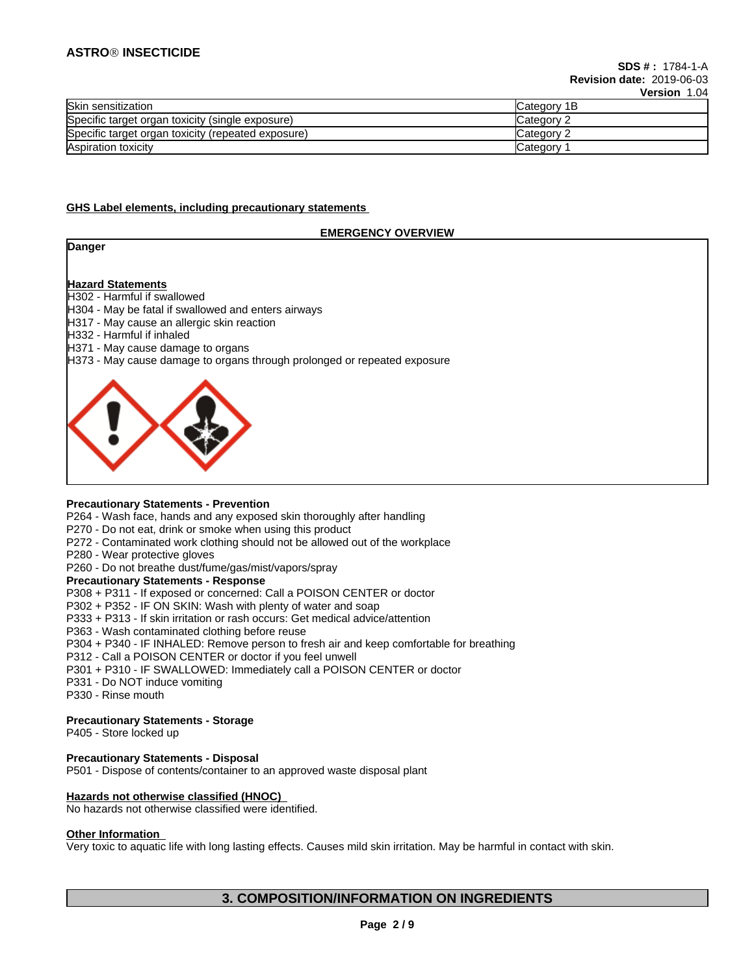# **ASTROÒ INSECTICIDE**

|                                                    | 1 YI YI YII 1.V     |
|----------------------------------------------------|---------------------|
| Skin sensitization                                 | <b>ICategory 1B</b> |
| Specific target organ toxicity (single exposure)   | Category 2          |
| Specific target organ toxicity (repeated exposure) | Category 2          |
| Aspiration toxicity                                | <b>Category</b>     |

#### **GHS Label elements, including precautionary statements**

### **EMERGENCY OVERVIEW**

**Danger**

# **Hazard Statements**

H302 - Harmful if swallowed

- H304 May be fatal if swallowed and enters airways
- H317 May cause an allergic skin reaction
- H332 Harmful if inhaled
- H371 May cause damage to organs
- H373 May cause damage to organs through prolonged or repeated exposure



#### **Precautionary Statements - Prevention**

P264 - Wash face, hands and any exposed skin thoroughly after handling

- P270 Do not eat, drink or smoke when using this product
- P272 Contaminated work clothing should not be allowed out of the workplace
- P280 Wear protective gloves
- P260 Do not breathe dust/fume/gas/mist/vapors/spray

### **Precautionary Statements - Response**

P308 + P311 - If exposed or concerned: Call a POISON CENTER or doctor

P302 + P352 - IF ON SKIN: Wash with plenty of water and soap

- P333 + P313 If skin irritation or rash occurs: Get medical advice/attention
- P363 Wash contaminated clothing before reuse

P304 + P340 - IF INHALED: Remove person to fresh air and keep comfortable for breathing

- P312 Call a POISON CENTER or doctor if you feel unwell
- P301 + P310 IF SWALLOWED: Immediately call a POISON CENTER or doctor
- P331 Do NOT induce vomiting
- P330 Rinse mouth

### **Precautionary Statements - Storage**

P405 - Store locked up

**Precautionary Statements - Disposal** P501 - Dispose of contents/container to an approved waste disposal plant

**Hazards not otherwise classified (HNOC)**

No hazards not otherwise classified were identified.

#### **Other Information**

Very toxic to aquatic life with long lasting effects. Causes mild skin irritation. May be harmful in contact with skin.

# **3. COMPOSITION/INFORMATION ON INGREDIENTS**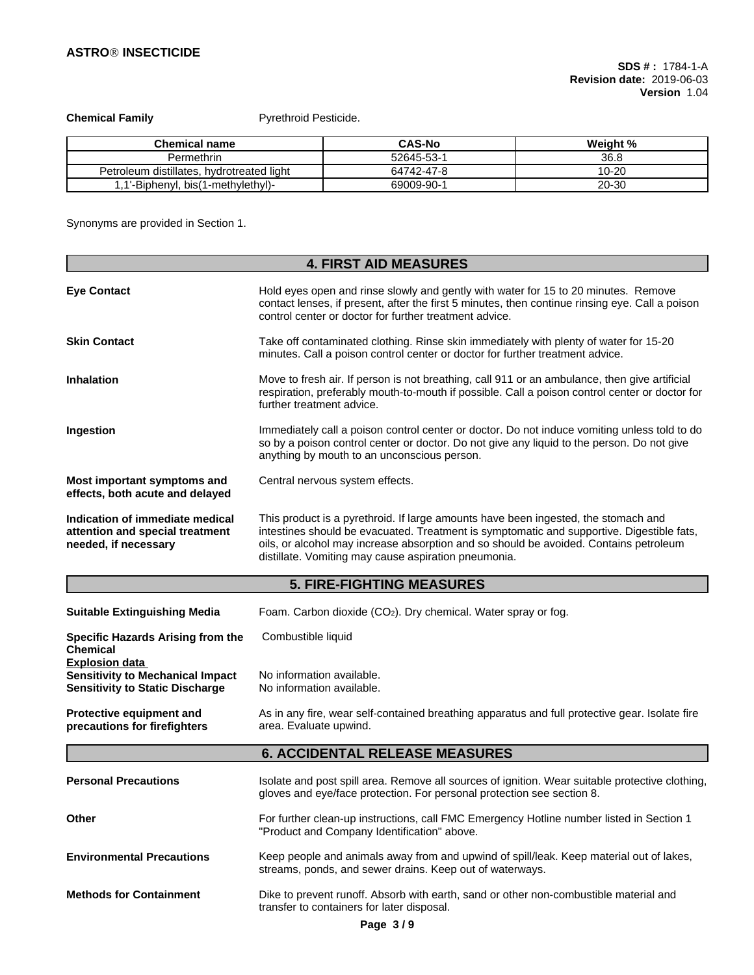**Chemical Family Pyrethroid Pesticide.** 

| <b>Chemical name</b>                           | <b>CAS-No</b> | Weight % |
|------------------------------------------------|---------------|----------|
| Permethrin                                     | 52645-53-1    | 36.8     |
| . hvdrotreated light<br>Petroleum distillates. | 64742-47-8    | 10-20    |
| -1.1'-Biphenyl, bis(1-methylethyl).            | 69009-90-     | 20-30    |

Synonyms are provided in Section 1.

|                                                                                                            | <b>4. FIRST AID MEASURES</b>                                                                                                                                                                                                                                                                                                     |  |
|------------------------------------------------------------------------------------------------------------|----------------------------------------------------------------------------------------------------------------------------------------------------------------------------------------------------------------------------------------------------------------------------------------------------------------------------------|--|
| <b>Eye Contact</b>                                                                                         | Hold eyes open and rinse slowly and gently with water for 15 to 20 minutes. Remove<br>contact lenses, if present, after the first 5 minutes, then continue rinsing eye. Call a poison<br>control center or doctor for further treatment advice.                                                                                  |  |
| <b>Skin Contact</b>                                                                                        | Take off contaminated clothing. Rinse skin immediately with plenty of water for 15-20<br>minutes. Call a poison control center or doctor for further treatment advice.                                                                                                                                                           |  |
| <b>Inhalation</b>                                                                                          | Move to fresh air. If person is not breathing, call 911 or an ambulance, then give artificial<br>respiration, preferably mouth-to-mouth if possible. Call a poison control center or doctor for<br>further treatment advice.                                                                                                     |  |
| Ingestion                                                                                                  | Immediately call a poison control center or doctor. Do not induce vomiting unless told to do<br>so by a poison control center or doctor. Do not give any liquid to the person. Do not give<br>anything by mouth to an unconscious person.                                                                                        |  |
| Most important symptoms and<br>effects, both acute and delayed                                             | Central nervous system effects.                                                                                                                                                                                                                                                                                                  |  |
| Indication of immediate medical<br>attention and special treatment<br>needed, if necessary                 | This product is a pyrethroid. If large amounts have been ingested, the stomach and<br>intestines should be evacuated. Treatment is symptomatic and supportive. Digestible fats,<br>oils, or alcohol may increase absorption and so should be avoided. Contains petroleum<br>distillate. Vomiting may cause aspiration pneumonia. |  |
|                                                                                                            | <b>5. FIRE-FIGHTING MEASURES</b>                                                                                                                                                                                                                                                                                                 |  |
| <b>Suitable Extinguishing Media</b>                                                                        | Foam. Carbon dioxide (CO <sub>2</sub> ). Dry chemical. Water spray or fog.                                                                                                                                                                                                                                                       |  |
| Specific Hazards Arising from the<br><b>Chemical</b>                                                       | Combustible liquid                                                                                                                                                                                                                                                                                                               |  |
| <b>Explosion data</b><br><b>Sensitivity to Mechanical Impact</b><br><b>Sensitivity to Static Discharge</b> | No information available.<br>No information available.                                                                                                                                                                                                                                                                           |  |
| Protective equipment and<br>precautions for firefighters                                                   | As in any fire, wear self-contained breathing apparatus and full protective gear. Isolate fire<br>area. Evaluate upwind.                                                                                                                                                                                                         |  |
|                                                                                                            | <b>6. ACCIDENTAL RELEASE MEASURES</b>                                                                                                                                                                                                                                                                                            |  |
| <b>Personal Precautions</b>                                                                                | Isolate and post spill area. Remove all sources of ignition. Wear suitable protective clothing,<br>gloves and eye/face protection. For personal protection see section 8.                                                                                                                                                        |  |
| Other                                                                                                      | For further clean-up instructions, call FMC Emergency Hotline number listed in Section 1<br>"Product and Company Identification" above.                                                                                                                                                                                          |  |
| <b>Environmental Precautions</b>                                                                           | Keep people and animals away from and upwind of spill/leak. Keep material out of lakes,<br>streams, ponds, and sewer drains. Keep out of waterways.                                                                                                                                                                              |  |
| <b>Methods for Containment</b>                                                                             | Dike to prevent runoff. Absorb with earth, sand or other non-combustible material and<br>transfer to containers for later disposal.                                                                                                                                                                                              |  |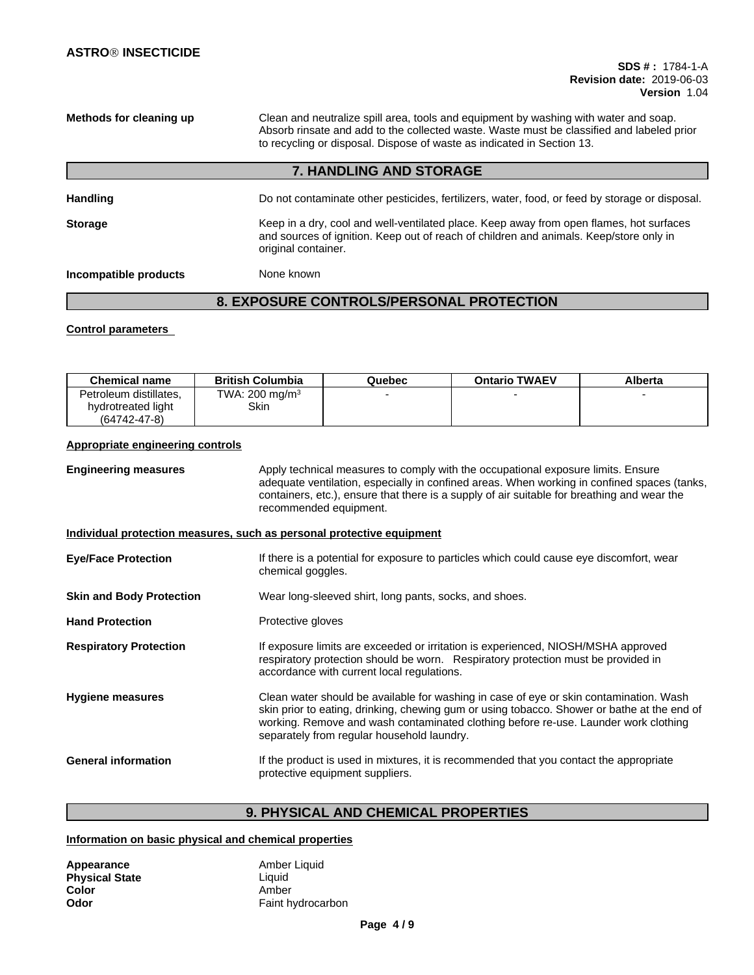**Methods for cleaning up** Clean and neutralize spill area, tools and equipment by washing with water and soap. Absorb rinsate and add to the collected waste. Waste must be classified and labeled prior to recycling or disposal. Dispose of waste as indicated in Section 13.

# **7. HANDLING AND STORAGE**

| <b>Handling</b>       | Do not contaminate other pesticides, fertilizers, water, food, or feed by storage or disposal.                                                                                                           |
|-----------------------|----------------------------------------------------------------------------------------------------------------------------------------------------------------------------------------------------------|
| <b>Storage</b>        | Keep in a dry, cool and well-ventilated place. Keep away from open flames, hot surfaces<br>and sources of ignition. Keep out of reach of children and animals. Keep/store only in<br>original container. |
| Incompatible products | None known                                                                                                                                                                                               |

# **8. EXPOSURE CONTROLS/PERSONAL PROTECTION**

### **Control parameters**

| <b>Chemical name</b>   | <b>British Columbia</b>    | Quebec | <b>Ontario TWAEV</b> | Alberta |
|------------------------|----------------------------|--------|----------------------|---------|
| Petroleum distillates. | TWA: 200 mg/m <sup>3</sup> |        |                      |         |
| hydrotreated light     | Skin                       |        |                      |         |
| $(64742 - 47 - 8)$     |                            |        |                      |         |

### **Appropriate engineering controls**

**Engineering measures** Apply technical measures to comply with the occupational exposure limits. Ensure adequate ventilation, especially in confined areas. When working in confined spaces (tanks, containers, etc.), ensure that there is a supply of air suitable for breathing and wear the recommended equipment.

#### **Individual protection measures, such as personal protective equipment**

| <b>Eye/Face Protection</b>      | If there is a potential for exposure to particles which could cause eye discomfort, wear<br>chemical goggles.                                                                                                                                                                                                              |
|---------------------------------|----------------------------------------------------------------------------------------------------------------------------------------------------------------------------------------------------------------------------------------------------------------------------------------------------------------------------|
| <b>Skin and Body Protection</b> | Wear long-sleeved shirt, long pants, socks, and shoes.                                                                                                                                                                                                                                                                     |
| <b>Hand Protection</b>          | Protective gloves                                                                                                                                                                                                                                                                                                          |
| <b>Respiratory Protection</b>   | If exposure limits are exceeded or irritation is experienced, NIOSH/MSHA approved<br>respiratory protection should be worn. Respiratory protection must be provided in<br>accordance with current local regulations.                                                                                                       |
| <b>Hygiene measures</b>         | Clean water should be available for washing in case of eye or skin contamination. Wash<br>skin prior to eating, drinking, chewing gum or using tobacco. Shower or bathe at the end of<br>working. Remove and wash contaminated clothing before re-use. Launder work clothing<br>separately from regular household laundry. |
| <b>General information</b>      | If the product is used in mixtures, it is recommended that you contact the appropriate<br>protective equipment suppliers.                                                                                                                                                                                                  |

# **9. PHYSICAL AND CHEMICAL PROPERTIES**

### **Information on basic physical and chemical properties**

| Appearance            | Amber Liquid      |
|-----------------------|-------------------|
| <b>Physical State</b> | Liauid            |
| Color                 | Amber             |
| Odor                  | Faint hydrocarbon |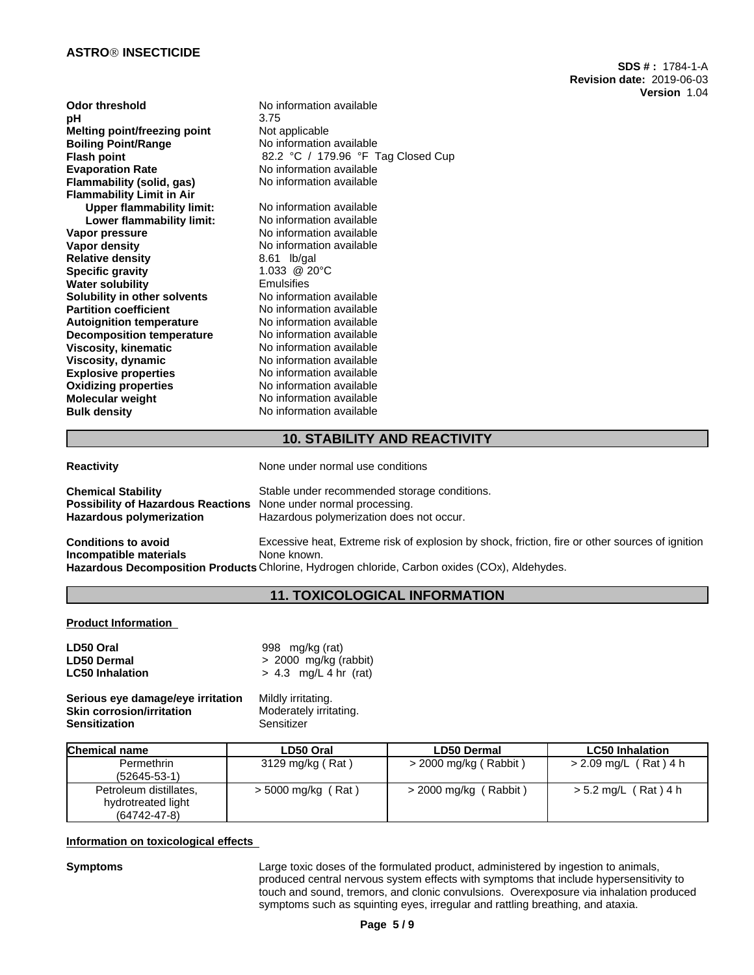### **ASTROÒ INSECTICIDE**

| Odor threshold                      | No information available           |
|-------------------------------------|------------------------------------|
| рH                                  | 3.75                               |
| <b>Melting point/freezing point</b> | Not applicable                     |
| <b>Boiling Point/Range</b>          | No information available           |
| <b>Flash point</b>                  | 82.2 °C / 179.96 °F Tag Closed Cup |
| <b>Evaporation Rate</b>             | No information available           |
| Flammability (solid, gas)           | No information available           |
| <b>Flammability Limit in Air</b>    |                                    |
| <b>Upper flammability limit:</b>    | No information available           |
| Lower flammability limit:           | No information available           |
| Vapor pressure                      | No information available           |
| <b>Vapor density</b>                | No information available           |
| <b>Relative density</b>             | 8.61 lb/gal                        |
| <b>Specific gravity</b>             | 1.033 @ 20°C                       |
| <b>Water solubility</b>             | <b>Emulsifies</b>                  |
| Solubility in other solvents        | No information available           |
| <b>Partition coefficient</b>        | No information available           |
| <b>Autoignition temperature</b>     | No information available           |
| <b>Decomposition temperature</b>    | No information available           |
| <b>Viscosity, kinematic</b>         | No information available           |
| Viscosity, dynamic                  | No information available           |
| <b>Explosive properties</b>         | No information available           |
| <b>Oxidizing properties</b>         | No information available           |
| <b>Molecular weight</b>             | No information available           |
| <b>Bulk density</b>                 | No information available           |
|                                     |                                    |

**SDS # :** 1784-1-A **Revision date:** 2019-06-03 **Version** 1.04

# **10. STABILITY AND REACTIVITY**

| <b>Reactivity</b>                                                                                         | None under normal use conditions                                                                                                                                                                                |
|-----------------------------------------------------------------------------------------------------------|-----------------------------------------------------------------------------------------------------------------------------------------------------------------------------------------------------------------|
| <b>Chemical Stability</b><br><b>Possibility of Hazardous Reactions</b><br><b>Hazardous polymerization</b> | Stable under recommended storage conditions.<br>None under normal processing.<br>Hazardous polymerization does not occur.                                                                                       |
| <b>Conditions to avoid</b><br>Incompatible materials                                                      | Excessive heat, Extreme risk of explosion by shock, friction, fire or other sources of ignition<br>None known.<br>Hazardous Decomposition Products Chlorine, Hydrogen chloride, Carbon oxides (COx), Aldehydes. |

# **11. TOXICOLOGICAL INFORMATION**

**Product Information**

| LD50 Oral              | 998 mg/kg (rat)         |
|------------------------|-------------------------|
| <b>LD50 Dermal</b>     | $> 2000$ mg/kg (rabbit) |
| <b>LC50 Inhalation</b> | $> 4.3$ mg/L 4 hr (rat) |
|                        |                         |

**Serious eye damage/eye irritation** Mildly irritating. **Skin corrosion/irritation Moderately 1986**<br> **Sensitization** Sensitizer **Sensitization** 

| Chemical name          | LD50 Oral          | <b>LD50 Dermal</b>      | <b>LC50 Inhalation</b> |
|------------------------|--------------------|-------------------------|------------------------|
| Permethrin             | 3129 mg/kg (Rat)   | > 2000 mg/kg ( Rabbit ) | > 2.09 mg/L (Rat)4 h   |
| $(52645 - 53 - 1)$     |                    |                         |                        |
| Petroleum distillates, | > 5000 mg/kg (Rat) | > 2000 mg/kg (Rabbit)   | > 5.2 mg/L (Rat) 4 h   |
| hydrotreated light     |                    |                         |                        |
| $(64742 - 47 - 8)$     |                    |                         |                        |

### **Information on toxicological effects**

**Symptoms** Large toxic doses of the formulated product, administered by ingestion to animals, produced central nervous system effects with symptoms that include hypersensitivity to touch and sound, tremors, and clonic convulsions. Overexposure via inhalation produced symptoms such as squinting eyes, irregular and rattling breathing, and ataxia.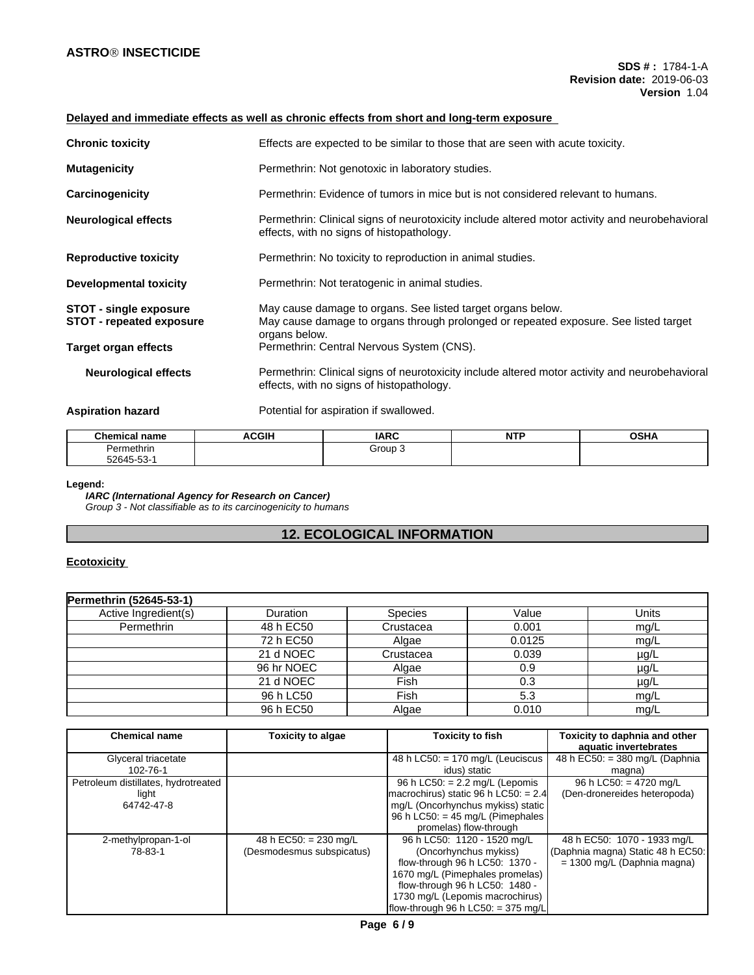# **Delayed and immediate effects as well as chronic effects from short and long-term exposure**

| <b>Chronic toxicity</b>                                          | Effects are expected to be similar to those that are seen with acute toxicity.                                                                                       |
|------------------------------------------------------------------|----------------------------------------------------------------------------------------------------------------------------------------------------------------------|
|                                                                  |                                                                                                                                                                      |
| <b>Mutagenicity</b>                                              | Permethrin: Not genotoxic in laboratory studies.                                                                                                                     |
| Carcinogenicity                                                  | Permethrin: Evidence of tumors in mice but is not considered relevant to humans.                                                                                     |
| <b>Neurological effects</b>                                      | Permethrin: Clinical signs of neurotoxicity include altered motor activity and neurobehavioral<br>effects, with no signs of histopathology.                          |
| <b>Reproductive toxicity</b>                                     | Permethrin: No toxicity to reproduction in animal studies.                                                                                                           |
| <b>Developmental toxicity</b>                                    | Permethrin: Not teratogenic in animal studies.                                                                                                                       |
| <b>STOT - single exposure</b><br><b>STOT - repeated exposure</b> | May cause damage to organs. See listed target organs below.<br>May cause damage to organs through prolonged or repeated exposure. See listed target<br>organs below. |
| Target organ effects                                             | Permethrin: Central Nervous System (CNS).                                                                                                                            |
| <b>Neurological effects</b>                                      | Permethrin: Clinical signs of neurotoxicity include altered motor activity and neurobehavioral<br>effects, with no signs of histopathology.                          |
| <b>Aspiration hazard</b>                                         | Potential for aspiration if swallowed.                                                                                                                               |

| <b>Chemical name</b> | <b>ACGIF</b> | <b>IARC</b> | <b>MTI</b><br>. | <b>OCUA</b><br>יוסט |
|----------------------|--------------|-------------|-----------------|---------------------|
| Permethrin           |              | Group∶      |                 |                     |
| 52645-53-            |              |             |                 |                     |

#### **Legend:**

*IARC (International Agency for Research on Cancer) Group 3 - Not classifiable as to its carcinogenicity to humans*

# **12. ECOLOGICAL INFORMATION**

# **Ecotoxicity**

| Permethrin (52645-53-1) |            |                |        |           |
|-------------------------|------------|----------------|--------|-----------|
| Active Ingredient(s)    | Duration   | <b>Species</b> | Value  | Units     |
| Permethrin              | 48 h EC50  | Crustacea      | 0.001  | mq/L      |
|                         | 72 h EC50  | Algae          | 0.0125 | mg/L      |
|                         | 21 d NOEC  | Crustacea      | 0.039  | $\mu$ g/L |
|                         | 96 hr NOEC | Algae          | 0.9    | $\mu$ g/L |
|                         | 21 d NOEC  | <b>Fish</b>    | 0.3    | $\mu$ g/L |
|                         | 96 h LC50  | Fish           | 5.3    | mg/L      |
|                         | 96 h EC50  | Algae          | 0.010  | mg/L      |

| <b>Chemical name</b>                                       | <b>Toxicity to algae</b>                             | Toxicity to fish                                                                                                                                                                                                                         | Toxicity to daphnia and other<br>aquatic invertebrates                                            |  |  |
|------------------------------------------------------------|------------------------------------------------------|------------------------------------------------------------------------------------------------------------------------------------------------------------------------------------------------------------------------------------------|---------------------------------------------------------------------------------------------------|--|--|
| Glyceral triacetate<br>102-76-1                            |                                                      | 48 h LC50: $= 170$ mg/L (Leuciscus<br>idus) static                                                                                                                                                                                       | 48 h EC50: $=$ 380 mg/L (Daphnia<br>magna)                                                        |  |  |
| Petroleum distillates, hydrotreated<br>light<br>64742-47-8 |                                                      | 96 h LC50: $= 2.2$ mg/L (Lepomis<br>macrochirus) static 96 h LC50: $= 2.4$<br>mg/L (Oncorhynchus mykiss) static<br>96 h LC50: $=$ 45 mg/L (Pimephales<br>promelas) flow-through                                                          | 96 h LC50: $=$ 4720 mg/L<br>(Den-dronereides heteropoda)                                          |  |  |
| 2-methylpropan-1-ol<br>78-83-1                             | 48 h EC50: $= 230$ mg/L<br>(Desmodesmus subspicatus) | 96 h LC50: 1120 - 1520 mg/L<br>(Oncorhynchus mykiss)<br>flow-through 96 h LC50: 1370 -<br>1670 mg/L (Pimephales promelas)<br>flow-through 96 h LC50: 1480 -<br>1730 mg/L (Lepomis macrochirus)<br>$ $ flow-through 96 h LC50: = 375 mg/L | 48 h EC50: 1070 - 1933 mg/L<br>(Daphnia magna) Static 48 h EC50:<br>$= 1300$ mg/L (Daphnia magna) |  |  |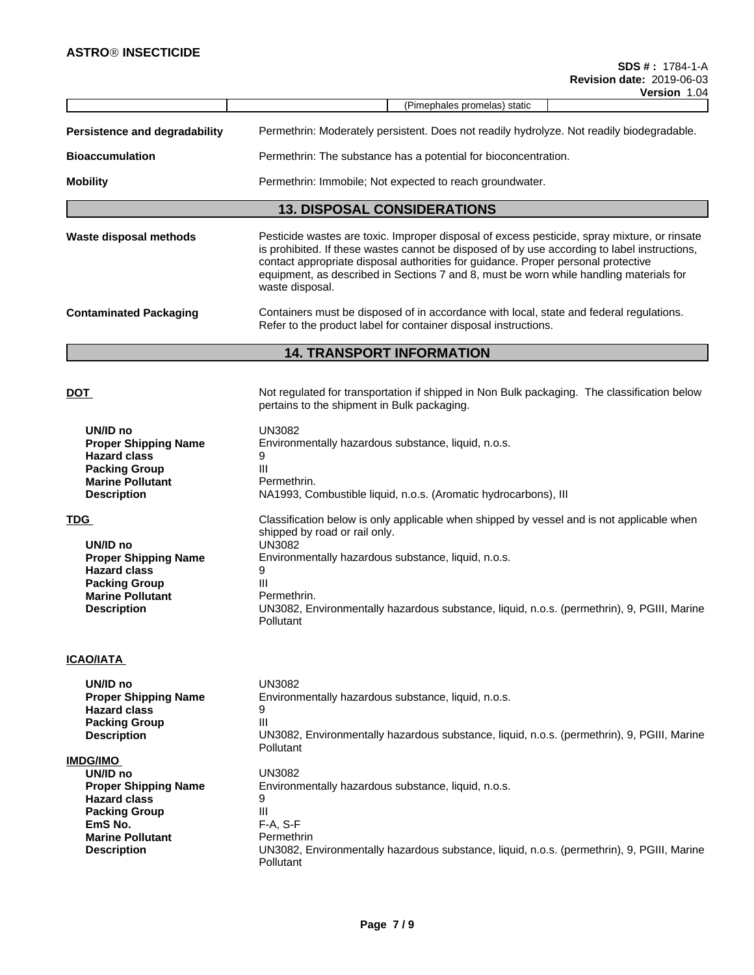|                                                                                                                                                       | דע.ו וו <b>טופו<del>ט</del></b>                                                                                                                                                                                                                                                                                                                                                                |  |  |  |  |  |  |  |  |
|-------------------------------------------------------------------------------------------------------------------------------------------------------|------------------------------------------------------------------------------------------------------------------------------------------------------------------------------------------------------------------------------------------------------------------------------------------------------------------------------------------------------------------------------------------------|--|--|--|--|--|--|--|--|
|                                                                                                                                                       | (Pimephales promelas) static                                                                                                                                                                                                                                                                                                                                                                   |  |  |  |  |  |  |  |  |
| Persistence and degradability                                                                                                                         | Permethrin: Moderately persistent. Does not readily hydrolyze. Not readily biodegradable.                                                                                                                                                                                                                                                                                                      |  |  |  |  |  |  |  |  |
| <b>Bioaccumulation</b>                                                                                                                                | Permethrin: The substance has a potential for bioconcentration.                                                                                                                                                                                                                                                                                                                                |  |  |  |  |  |  |  |  |
| <b>Mobility</b>                                                                                                                                       | Permethrin: Immobile; Not expected to reach groundwater.                                                                                                                                                                                                                                                                                                                                       |  |  |  |  |  |  |  |  |
|                                                                                                                                                       | <b>13. DISPOSAL CONSIDERATIONS</b>                                                                                                                                                                                                                                                                                                                                                             |  |  |  |  |  |  |  |  |
| Waste disposal methods                                                                                                                                | Pesticide wastes are toxic. Improper disposal of excess pesticide, spray mixture, or rinsate<br>is prohibited. If these wastes cannot be disposed of by use according to label instructions,<br>contact appropriate disposal authorities for guidance. Proper personal protective<br>equipment, as described in Sections 7 and 8, must be worn while handling materials for<br>waste disposal. |  |  |  |  |  |  |  |  |
| <b>Contaminated Packaging</b>                                                                                                                         | Containers must be disposed of in accordance with local, state and federal regulations.<br>Refer to the product label for container disposal instructions.                                                                                                                                                                                                                                     |  |  |  |  |  |  |  |  |
|                                                                                                                                                       | <b>14. TRANSPORT INFORMATION</b>                                                                                                                                                                                                                                                                                                                                                               |  |  |  |  |  |  |  |  |
| <u>DOT</u>                                                                                                                                            | Not regulated for transportation if shipped in Non Bulk packaging. The classification below<br>pertains to the shipment in Bulk packaging.                                                                                                                                                                                                                                                     |  |  |  |  |  |  |  |  |
| UN/ID no<br><b>Proper Shipping Name</b><br><b>Hazard class</b><br><b>Packing Group</b><br><b>Marine Pollutant</b><br><b>Description</b>               | UN3082<br>Environmentally hazardous substance, liquid, n.o.s.<br>9<br>III<br>Permethrin.<br>NA1993, Combustible liquid, n.o.s. (Aromatic hydrocarbons), III                                                                                                                                                                                                                                    |  |  |  |  |  |  |  |  |
| <b>TDG</b><br>UN/ID no<br><b>Proper Shipping Name</b><br><b>Hazard class</b><br><b>Packing Group</b><br><b>Marine Pollutant</b><br><b>Description</b> | Classification below is only applicable when shipped by vessel and is not applicable when<br>shipped by road or rail only.<br><b>UN3082</b><br>Environmentally hazardous substance, liquid, n.o.s.<br>9<br>Ш<br>Permethrin.<br>UN3082, Environmentally hazardous substance, liquid, n.o.s. (permethrin), 9, PGIII, Marine<br>Pollutant                                                         |  |  |  |  |  |  |  |  |
| <b>ICAO/IATA</b>                                                                                                                                      |                                                                                                                                                                                                                                                                                                                                                                                                |  |  |  |  |  |  |  |  |
| UN/ID no<br><b>Proper Shipping Name</b><br><b>Hazard class</b><br><b>Packing Group</b><br><b>Description</b>                                          | <b>UN3082</b><br>Environmentally hazardous substance, liquid, n.o.s.<br>9<br>Ш<br>UN3082, Environmentally hazardous substance, liquid, n.o.s. (permethrin), 9, PGIII, Marine<br>Pollutant                                                                                                                                                                                                      |  |  |  |  |  |  |  |  |
| <b>IMDG/IMO</b><br>UN/ID no<br><b>Proper Shipping Name</b><br><b>Hazard class</b><br><b>Packing Group</b><br>EmS No.                                  | <b>UN3082</b><br>Environmentally hazardous substance, liquid, n.o.s.<br>9<br>Ш<br>$F-A, S-F$<br>Permethrin                                                                                                                                                                                                                                                                                     |  |  |  |  |  |  |  |  |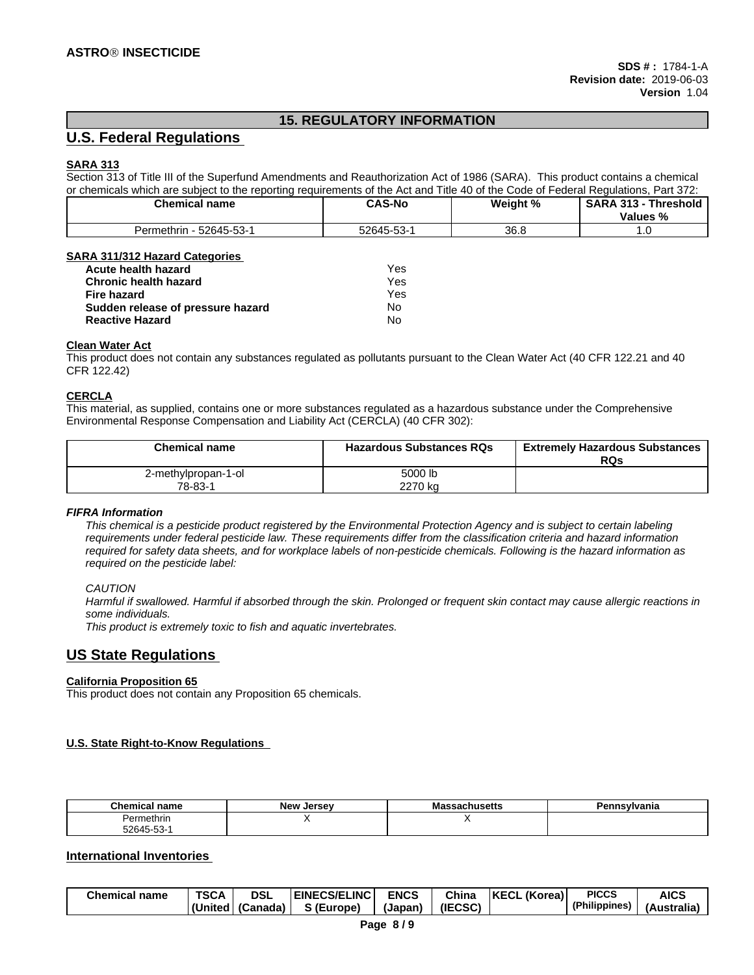# **15. REGULATORY INFORMATION**

# **U.S. Federal Regulations**

### **SARA 313**

Section 313 of Title III of the Superfund Amendments and Reauthorization Act of 1986 (SARA). This product contains a chemical or chemicals which are subject to the reporting requirements of the Act and Title 40 of the Code of Federal Regulations, Part 372:

| ~<br><b>Chemical name</b> | <b>CAS-No</b> | Weight % | <b>SARA 313</b><br><b>Chreshold</b> |  |
|---------------------------|---------------|----------|-------------------------------------|--|
|                           |               |          | $\sim$<br>Values %<br>70            |  |
| 52645-53-1<br>Permethrin  | 52645-53-     | 36.8     | . .                                 |  |

### **SARA 311/312 Hazard Categories**

| <b>Acute health hazard</b>        | Yes |
|-----------------------------------|-----|
| <b>Chronic health hazard</b>      | Yes |
| Fire hazard                       | Yes |
| Sudden release of pressure hazard | No  |
| <b>Reactive Hazard</b>            | No  |

### **Clean Water Act**

This product does not contain any substances regulated as pollutants pursuant to the Clean Water Act (40 CFR 122.21 and 40 CFR 122.42)

### **CERCLA**

This material, as supplied, contains one or more substances regulated as a hazardous substance under the Comprehensive Environmental Response Compensation and Liability Act (CERCLA) (40 CFR 302):

| <b>Chemical name</b>           | <b>Hazardous Substances RQs</b> | <b>Extremely Hazardous Substances</b><br>RQs |
|--------------------------------|---------------------------------|----------------------------------------------|
| 2-methylpropan-1-ol<br>78-83-1 | 5000 lb<br>2270 ka              |                                              |

#### *FIFRA Information*

This chemical is a pesticide product registered by the Environmental Protection Agency and is subject to certain labeling requirements under federal pesticide law. These requirements differ from the classification criteria and hazard information required for safety data sheets, and for workplace labels of non-pesticide chemicals. Following is the hazard information as *required on the pesticide label:*

### *CAUTION*

Harmful if swallowed. Harmful if absorbed through the skin. Prolonged or frequent skin contact may cause allergic reactions in *some individuals.*

*This product is extremely toxic to fish and aquatic invertebrates.*

### **US State Regulations**

### **California Proposition 65**

This product does not contain any Proposition 65 chemicals.

### **U.S. State Right-to-Know Regulations**

| <b>CL</b><br>mical name<br><b>Brand</b> | יינם ה<br>larcay | шизык | п.<br>$- -$<br>anıd |
|-----------------------------------------|------------------|-------|---------------------|
| Permethrin                              |                  | . .   |                     |
| $\sim$<br>- ~<br>$764 -$<br>-ר-ר<br>.   |                  |       |                     |

### **International Inventories**

| Chemical<br>name | <b>TSCA</b> | <b>DSL</b> | <b>ECS/ELINC</b><br>EINE\ | <b>ENCS</b> | <b>China</b> | $\mathbf{u}$<br><b>KECI</b><br>.Korea)<br>'NL<br>-ul | <b>PICCS</b>  | <b>AICS</b>            |
|------------------|-------------|------------|---------------------------|-------------|--------------|------------------------------------------------------|---------------|------------------------|
|                  | (United     | (Canada)   | S (Europe)                | (Japan      | (IECSC)      |                                                      | (Philippines) | . .<br>\ustralia<br>1Δ |